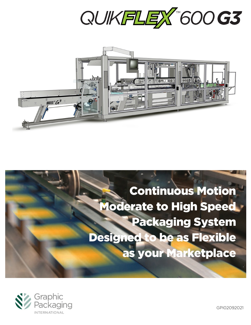



# Continuous Motion Moderate to High Speed Packaging System Designed to be as Flexible as your Marketplace



GPI02092021